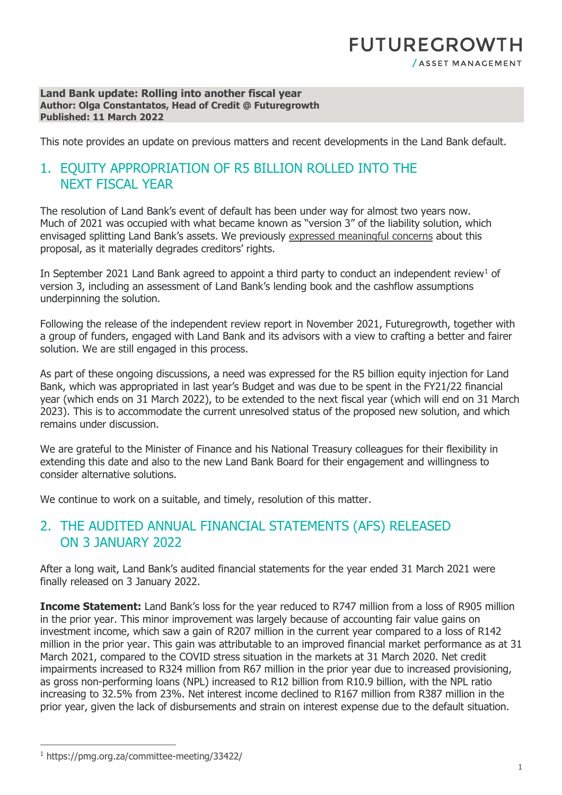## **FUTUREGROWTH** /ASSET MANAGEMENT

#### **Land Bank update: Rolling into another fiscal year Author: Olga Constantatos, Head of Credit @ Futuregrowth Published: 11 March 2022**

This note provides an update on previous matters and recent developments in the Land Bank default.

#### 1. EQUITY APPROPRIATION OF R5 BILLION ROLLED INTO THE NEXT FISCAL YEAR

The resolution of Land Bank's event of default has been under way for almost two years now. Much of 2021 was occupied with what became known as "version 3" of the liability solution, which envisaged splitting Land Bank's assets. We previously [expressed meaningful concerns](https://www.futuregrowth.co.za/insights/land-bank-update-a-snail-s-pace/) about this proposal, as it materially degrades creditors' rights.

In September 202[1](#page-0-0) Land Bank agreed to appoint a third party to conduct an independent review<sup>1</sup> of version 3, including an assessment of Land Bank's lending book and the cashflow assumptions underpinning the solution.

Following the release of the independent review report in November 2021, Futuregrowth, together with a group of funders, engaged with Land Bank and its advisors with a view to crafting a better and fairer solution. We are still engaged in this process.

As part of these ongoing discussions, a need was expressed for the R5 billion equity injection for Land Bank, which was appropriated in last year's Budget and was due to be spent in the FY21/22 financial year (which ends on 31 March 2022), to be extended to the next fiscal year (which will end on 31 March 2023). This is to accommodate the current unresolved status of the proposed new solution, and which remains under discussion.

We are grateful to the Minister of Finance and his National Treasury colleagues for their flexibility in extending this date and also to the new Land Bank Board for their engagement and willingness to consider alternative solutions.

We continue to work on a suitable, and timely, resolution of this matter.

#### 2. THE AUDITED ANNUAL FINANCIAL STATEMENTS (AFS) RELEASED ON 3 JANUARY 2022

After a long wait, Land Bank's audited financial statements for the year ended 31 March 2021 were finally released on 3 January 2022.

**Income Statement:** Land Bank's loss for the year reduced to R747 million from a loss of R905 million in the prior year. This minor improvement was largely because of accounting fair value gains on investment income, which saw a gain of R207 million in the current year compared to a loss of R142 million in the prior year. This gain was attributable to an improved financial market performance as at 31 March 2021, compared to the COVID stress situation in the markets at 31 March 2020. Net credit impairments increased to R324 million from R67 million in the prior year due to increased provisioning, as gross non-performing loans (NPL) increased to R12 billion from R10.9 billion, with the NPL ratio increasing to 32.5% from 23%. Net interest income declined to R167 million from R387 million in the prior year, given the lack of disbursements and strain on interest expense due to the default situation.

<span id="page-0-0"></span><sup>1</sup> https://pmg.org.za/committee-meeting/33422/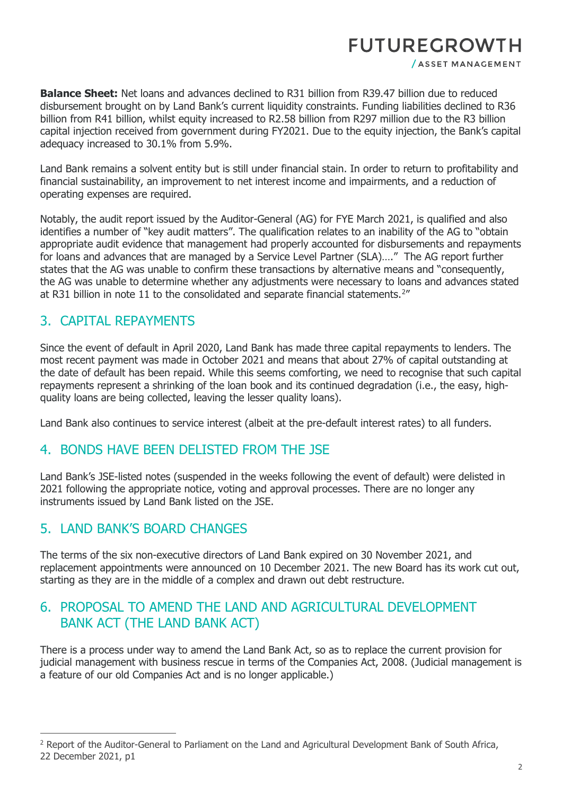# **FUTUREGROWTH**

/ ASSET MANAGEMENT

**Balance Sheet:** Net loans and advances declined to R31 billion from R39.47 billion due to reduced disbursement brought on by Land Bank's current liquidity constraints. Funding liabilities declined to R36 billion from R41 billion, whilst equity increased to R2.58 billion from R297 million due to the R3 billion capital injection received from government during FY2021. Due to the equity injection, the Bank's capital adequacy increased to 30.1% from 5.9%.

Land Bank remains a solvent entity but is still under financial stain. In order to return to profitability and financial sustainability, an improvement to net interest income and impairments, and a reduction of operating expenses are required.

Notably, the audit report issued by the Auditor-General (AG) for FYE March 2021, is qualified and also identifies a number of "key audit matters". The qualification relates to an inability of the AG to "obtain appropriate audit evidence that management had properly accounted for disbursements and repayments for loans and advances that are managed by a Service Level Partner (SLA)…." The AG report further states that the AG was unable to confirm these transactions by alternative means and "consequently, the AG was unable to determine whether any adjustments were necessary to loans and advances stated at R31 billion in note 11 to the consolidated and separate financial statements.<sup>[2](#page-1-0)"</sup>

### 3. CAPITAL REPAYMENTS

Since the event of default in April 2020, Land Bank has made three capital repayments to lenders. The most recent payment was made in October 2021 and means that about 27% of capital outstanding at the date of default has been repaid. While this seems comforting, we need to recognise that such capital repayments represent a shrinking of the loan book and its continued degradation (i.e., the easy, highquality loans are being collected, leaving the lesser quality loans).

Land Bank also continues to service interest (albeit at the pre-default interest rates) to all funders.

#### 4. BONDS HAVE BEEN DELISTED FROM THE JSE

Land Bank's JSE-listed notes (suspended in the weeks following the event of default) were delisted in 2021 following the appropriate notice, voting and approval processes. There are no longer any instruments issued by Land Bank listed on the JSE.

#### 5. LAND BANK'S BOARD CHANGES

The terms of the six non-executive directors of Land Bank expired on 30 November 2021, and replacement appointments were announced on 10 December 2021. The new Board has its work cut out, starting as they are in the middle of a complex and drawn out debt restructure.

## 6. PROPOSAL TO AMEND THE LAND AND AGRICULTURAL DEVELOPMENT BANK ACT (THE LAND BANK ACT)

There is a process under way to amend the Land Bank Act, so as to replace the current provision for judicial management with business rescue in terms of the Companies Act, 2008. (Judicial management is a feature of our old Companies Act and is no longer applicable.)

<span id="page-1-0"></span><sup>2</sup> Report of the Auditor-General to Parliament on the Land and Agricultural Development Bank of South Africa, 22 December 2021, p1